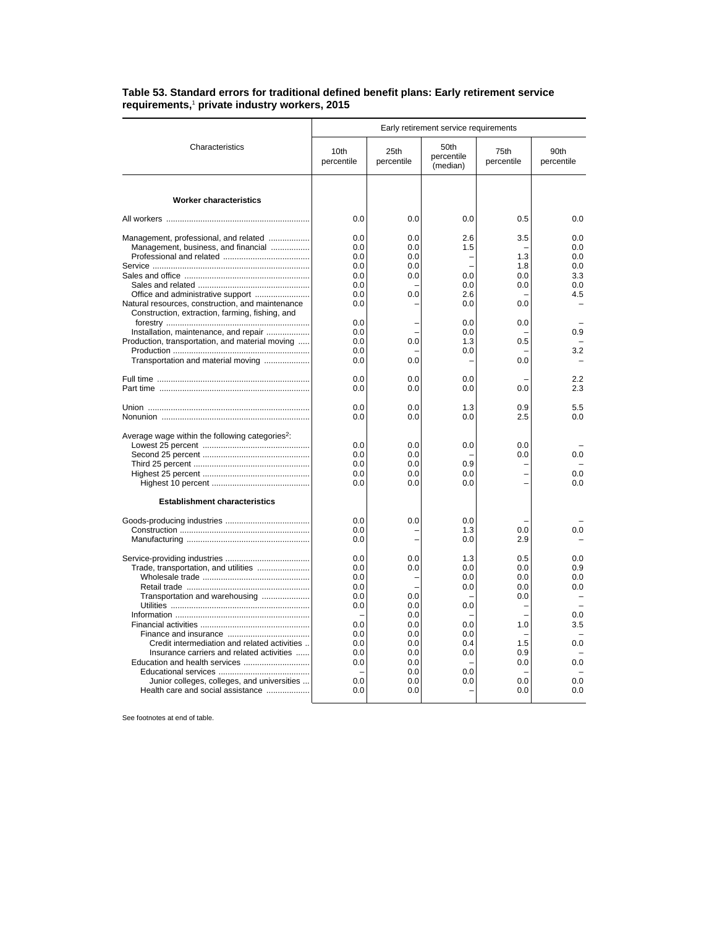## **Table 53. Standard errors for traditional defined benefit plans: Early retirement service requirements,**<sup>1</sup>  **private industry workers, 2015**

|                                                                                                                                                                                                      | Early retirement service requirements                                     |                                                                           |                                                                    |                                                             |                                                      |  |
|------------------------------------------------------------------------------------------------------------------------------------------------------------------------------------------------------|---------------------------------------------------------------------------|---------------------------------------------------------------------------|--------------------------------------------------------------------|-------------------------------------------------------------|------------------------------------------------------|--|
| Characteristics                                                                                                                                                                                      | 10th<br>percentile                                                        | 25th<br>percentile                                                        | 50th<br>percentile<br>(median)                                     | 75th<br>percentile                                          | 90th<br>percentile                                   |  |
| <b>Worker characteristics</b>                                                                                                                                                                        |                                                                           |                                                                           |                                                                    |                                                             |                                                      |  |
|                                                                                                                                                                                                      | 0.0                                                                       | 0.0                                                                       | 0.0                                                                | 0.5                                                         | 0.0                                                  |  |
| Management, professional, and related<br>Management, business, and financial<br>Office and administrative support<br>Natural resources, construction, and maintenance                                | 0.0<br>0.0<br>0.0<br>0.0<br>0.0<br>0.0<br>0.0<br>0.0                      | 0.0<br>0.0<br>0.0<br>0.0<br>0.0<br>0.0                                    | 2.6<br>1.5<br>0.0<br>0.0<br>2.6<br>0.0                             | 3.5<br>1.3<br>1.8<br>0.0<br>0.0<br>0.0                      | 0.0<br>0.0<br>0.0<br>0.0<br>3.3<br>0.0<br>4.5        |  |
| Construction, extraction, farming, fishing, and<br>Installation, maintenance, and repair<br>Production, transportation, and material moving<br>Transportation and material moving                    | 0.0<br>0.0<br>0.0<br>0.0<br>0.0                                           | 0.0<br>0.0                                                                | 0.0<br>0.0<br>1.3<br>0.0                                           | 0.0<br>0.5<br>0.0                                           | 0.9<br>3.2                                           |  |
|                                                                                                                                                                                                      | 0.0<br>0.0                                                                | 0.0<br>0.0                                                                | 0.0<br>0.0                                                         | 0.0                                                         | 2.2<br>2.3                                           |  |
|                                                                                                                                                                                                      | 0.0<br>0.0                                                                | 0.0<br>0.0                                                                | 1.3<br>0.0                                                         | 0.9<br>2.5                                                  | 5.5<br>0.0                                           |  |
| Average wage within the following categories <sup>2</sup> :<br><b>Establishment characteristics</b>                                                                                                  | 0.0<br>0.0<br>0.0<br>0.0<br>0.0                                           | 0.0<br>0.0<br>0.0<br>0.0<br>0.0                                           | 0.0<br>0.9<br>0.0<br>0.0                                           | 0.0<br>0.0                                                  | 0.0<br>0.0<br>0.0                                    |  |
|                                                                                                                                                                                                      | 0.0<br>0.0<br>0.0                                                         | 0.0<br>L                                                                  | 0.0<br>1.3<br>0.0                                                  | 0.0<br>2.9                                                  | 0.0                                                  |  |
| Trade, transportation, and utilities<br>Transportation and warehousing<br>Credit intermediation and related activities<br>Insurance carriers and related activities<br>Education and health services | 0.0<br>0.0<br>0.0<br>0.0<br>0.0<br>0.0<br>0.0<br>0.0<br>0.0<br>0.0<br>0.0 | 0.0<br>0.0<br>0.0<br>0.0<br>0.0<br>0.0<br>0.0<br>0.0<br>0.0<br>0.0<br>0.0 | 1.3<br>0.0<br>0.0<br>0.0<br>0.0<br>0.0<br>0.0<br>0.4<br>0.0<br>0.0 | 0.5<br>0.0<br>0.0<br>0.0<br>0.0<br>1.0<br>1.5<br>0.9<br>0.0 | 0.0<br>0.9<br>0.0<br>0.0<br>0.0<br>3.5<br>0.0<br>0.0 |  |
| Junior colleges, colleges, and universities<br>Health care and social assistance                                                                                                                     | 0.0<br>0.0                                                                | 0.0<br>0.0                                                                | 0.0                                                                | 0.0<br>0.0                                                  | 0.0<br>0.0                                           |  |

See footnotes at end of table.